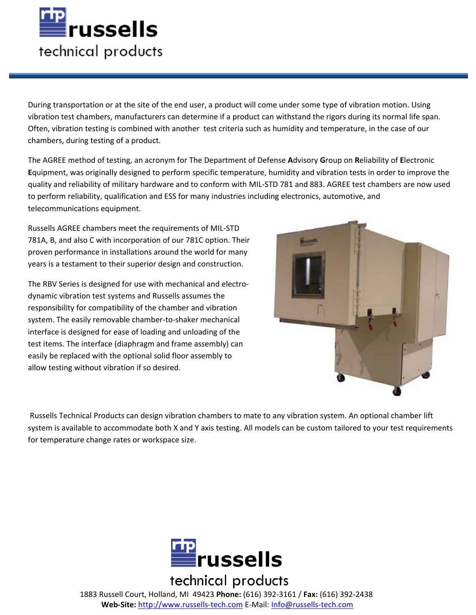

During transportation or at the site of the end user, a product will come under some type of vibration motion. Using vibration test chambers, manufacturers can determine if a product can withstand the rigors during its normal life span. Often, vibration testing is combined with another test criteria such as humidity and temperature, in the case of our chambers, during testing of a product.

The AGREE method of testing, an acronym for The Department of Defense **A**dvisory **G**roup on **R**eliability of **E**lectronic **E**quipment, was originally designed to perform specific temperature, humidity and vibration tests in order to improve the quality and reliability of military hardware and to conform with MIL-STD 781 and 883. AGREE test chambers are now used to perform reliability, qualification and ESS for many industries including electronics, automotive, and telecommunications equipment.

Russells AGREE chambers meet the requirements of MIL-STD 781A, B, and also C with incorporation of our 781C option. Their proven performance in installations around the world for many years is a testament to their superior design and construction.

The RBV Series is designed for use with mechanical and electrodynamic vibration test systems and Russells assumes the responsibility for compatibility of the chamber and vibration system. The easily removable chamber-to-shaker mechanical interface is designed for ease of loading and unloading of the test items. The interface (diaphragm and frame assembly) can easily be replaced with the optional solid floor assembly to allow testing without vibration if so desired.



 Russells Technical Products can design vibration chambers to mate to any vibration system. An optional chamber lift system is available to accommodate both X and Y axis testing. All models can be custom tailored to your test requirements for temperature change rates or workspace size.



technical products 1883 Russell Court, Holland, MI 49423 **Phone:** (616) 392‐3161 / **Fax:** (616) 392‐2438 **Web‐Site:** http://www.russells‐tech.com E‐Mail: Info@russells‐tech.com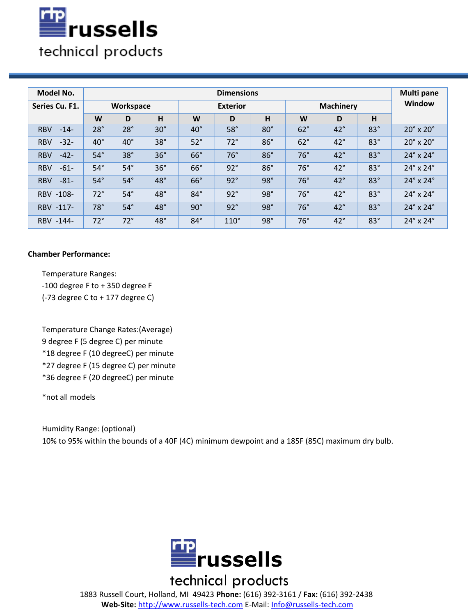

| Model No.            | <b>Dimensions</b> |              |            |                 |             |            |                  |              |            | Multi pane                 |
|----------------------|-------------------|--------------|------------|-----------------|-------------|------------|------------------|--------------|------------|----------------------------|
| Series Cu. F1.       | Workspace         |              |            | <b>Exterior</b> |             |            | <b>Machinery</b> |              |            | <b>Window</b>              |
|                      | W                 | D            | H          | W               | D           | H          | W                | D            | H          |                            |
| <b>RBV</b><br>$-14-$ | $28^\circ$        | $28^\circ$   | $30^\circ$ | $40^{\circ}$    | 58°         | $80^\circ$ | 62°              | $42^{\circ}$ | $83^\circ$ | $20^\circ \times 20^\circ$ |
| $-32-$<br><b>RBV</b> | $40^{\circ}$      | $40^{\circ}$ | $38^\circ$ | $52^\circ$      | $72^\circ$  | $86^\circ$ | 62°              | $42^{\circ}$ | $83^\circ$ | $20^\circ \times 20^\circ$ |
| $-42-$<br><b>RBV</b> | $54^\circ$        | $38^\circ$   | $36^\circ$ | $66^\circ$      | 76°         | 86°        | $76^\circ$       | $42^{\circ}$ | $83^\circ$ | $24^\circ \times 24^\circ$ |
| $-61-$<br><b>RBV</b> | $54^\circ$        | $54^\circ$   | $36^\circ$ | $66^\circ$      | $92^\circ$  | $86^\circ$ | $76^\circ$       | $42^{\circ}$ | $83^\circ$ | $24^\circ \times 24^\circ$ |
| <b>RBV</b><br>$-81-$ | $54^\circ$        | $54^\circ$   | $48^\circ$ | $66^\circ$      | 92°         | 98°        | $76^\circ$       | $42^{\circ}$ | $83^\circ$ | $24^\circ \times 24^\circ$ |
| RBV -108-            | $72^{\circ}$      | $54^\circ$   | $48^\circ$ | $84^\circ$      | 92°         | $98^\circ$ | $76^\circ$       | $42^{\circ}$ | $83^\circ$ | $24^\circ \times 24^\circ$ |
| RBV -117-            | $78^\circ$        | $54^\circ$   | $48^\circ$ | $90^\circ$      | $92^\circ$  | 98°        | $76^\circ$       | $42^{\circ}$ | $83^\circ$ | $24^\circ \times 24^\circ$ |
| RBV -144-            | $72^{\circ}$      | $72^\circ$   | $48^\circ$ | $84^\circ$      | $110^\circ$ | $98^\circ$ | $76^\circ$       | $42^{\circ}$ | $83^\circ$ | $24^\circ \times 24^\circ$ |

### **Chamber Performance:**

Temperature Ranges: -100 degree F to + 350 degree F (-73 degree C to + 177 degree C)

Temperature Change Rates:(Average) 9 degree F (5 degree C) per minute \*18 degree F (10 degreeC) per minute \*27 degree F (15 degree C) per minute \*36 degree F (20 degreeC) per minute

\*not all models

Humidity Range: (optional) 10% to 95% within the bounds of a 40F (4C) minimum dewpoint and a 185F (85C) maximum dry bulb.



technical products 1883 Russell Court, Holland, MI 49423 **Phone:** (616) 392‐3161 / **Fax:** (616) 392‐2438 **Web‐Site:** http://www.russells‐tech.com E‐Mail: Info@russells‐tech.com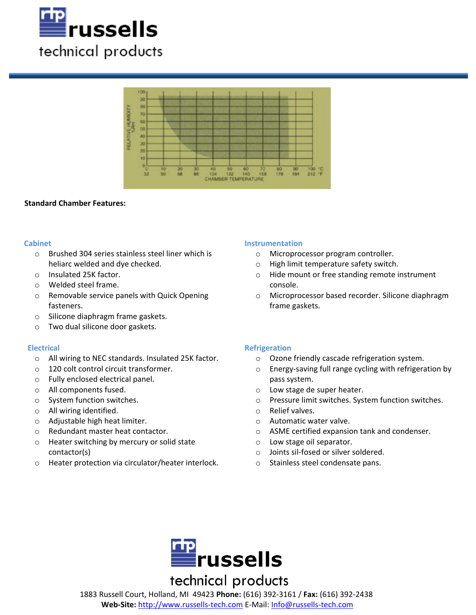



#### **Standard Chamber Features:**

#### **Cabinet**

- o Brushed 304 series stainless steel liner which is heliarc welded and dye checked.
- o Insulated 25K factor.
- o Welded steel frame.
- o Removable service panels with Quick Opening fasteners.
- o Silicone diaphragm frame gaskets.
- o Two dual silicone door gaskets.

#### **Electrical**

- o All wiring to NEC standards. Insulated 25K factor.
- o 120 colt control circuit transformer.
- o Fully enclosed electrical panel.
- o All components fused.
- o System function switches.
- o All wiring identified.
- o Adjustable high heat limiter.
- o Redundant master heat contactor.
- o Heater switching by mercury or solid state contactor(s)
- o Heater protection via circulator/heater interlock.

#### **Instrumentation**

- o Microprocessor program controller.
- o High limit temperature safety switch.
- o Hide mount or free standing remote instrument console.
- o Microprocessor based recorder. Silicone diaphragm frame gaskets.

### **Refrigeration**

- o Ozone friendly cascade refrigeration system.
- o Energy-saving full range cycling with refrigeration by pass system.
- o Low stage de super heater.
- o Pressure limit switches. System function switches.
- o Relief valves.
- o Automatic water valve.
- o ASME certified expansion tank and condenser.
- o Low stage oil separator.
- o Joints sil-fosed or silver soldered.
- o Stainless steel condensate pans.



# technical products

1883 Russell Court, Holland, MI 49423 **Phone:** (616) 392‐3161 / **Fax:** (616) 392‐2438 **Web‐Site:** http://www.russells‐tech.com E‐Mail: Info@russells‐tech.com